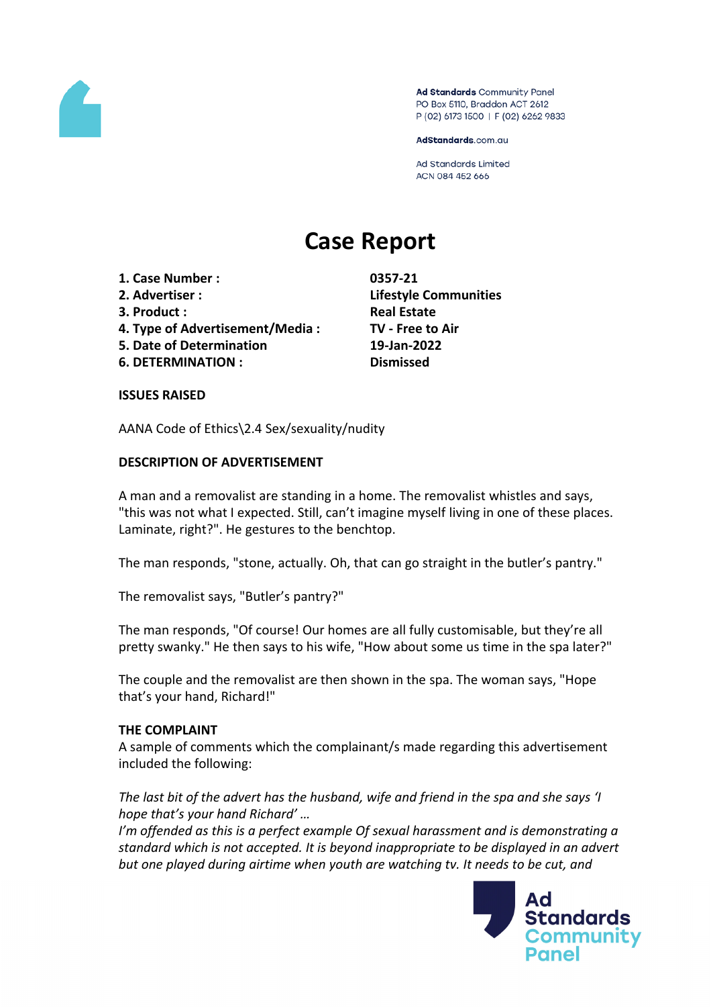

Ad Standards Community Panel PO Box 5110, Braddon ACT 2612 P (02) 6173 1500 | F (02) 6262 9833

AdStandards.com.au

**Ad Standards Limited** ACN 084 452 666

# **Case Report**

- **1. Case Number : 0357-21**
- 
- **3. Product : Real Estate**
- **4. Type of Advertisement/Media : TV - Free to Air**
- **5. Date of Determination 19-Jan-2022**
- **6. DETERMINATION : Dismissed**

**2. Advertiser : Lifestyle Communities**

## **ISSUES RAISED**

AANA Code of Ethics\2.4 Sex/sexuality/nudity

## **DESCRIPTION OF ADVERTISEMENT**

A man and a removalist are standing in a home. The removalist whistles and says, "this was not what I expected. Still, can't imagine myself living in one of these places. Laminate, right?". He gestures to the benchtop.

The man responds, "stone, actually. Oh, that can go straight in the butler's pantry."

The removalist says, "Butler's pantry?"

The man responds, "Of course! Our homes are all fully customisable, but they're all pretty swanky." He then says to his wife, "How about some us time in the spa later?"

The couple and the removalist are then shown in the spa. The woman says, "Hope that's your hand, Richard!"

## **THE COMPLAINT**

A sample of comments which the complainant/s made regarding this advertisement included the following:

*The last bit of the advert has the husband, wife and friend in the spa and she says 'I hope that's your hand Richard' …*

*I'm offended as this is a perfect example Of sexual harassment and is demonstrating a standard which is not accepted. It is beyond inappropriate to be displayed in an advert but one played during airtime when youth are watching tv. It needs to be cut, and*

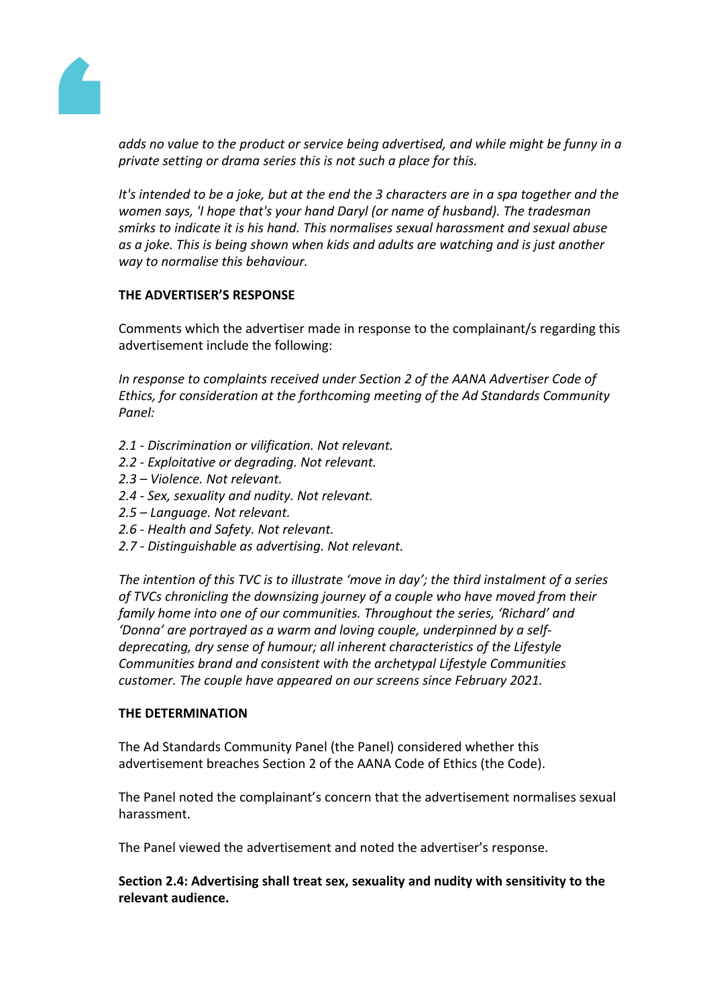

*adds no value to the product or service being advertised, and while might be funny in a private setting or drama series this is not such a place for this.*

It's intended to be a joke, but at the end the 3 characters are in a spa together and the *women says, 'I hope that's your hand Daryl (or name of husband). The tradesman smirks to indicate it is his hand. This normalises sexual harassment and sexual abuse as a joke. This is being shown when kids and adults are watching and is just another way to normalise this behaviour.*

## **THE ADVERTISER'S RESPONSE**

Comments which the advertiser made in response to the complainant/s regarding this advertisement include the following:

*In response to complaints received under Section 2 of the AANA Advertiser Code of Ethics, for consideration at the forthcoming meeting of the Ad Standards Community Panel:*

- *2.1 - Discrimination or vilification. Not relevant.*
- *2.2 - Exploitative or degrading. Not relevant.*
- *2.3 – Violence. Not relevant.*
- *2.4 - Sex, sexuality and nudity. Not relevant.*
- *2.5 – Language. Not relevant.*
- *2.6 - Health and Safety. Not relevant.*
- *2.7 - Distinguishable as advertising. Not relevant.*

*The intention of this TVC is to illustrate 'move in day'; the third instalment of a series of TVCs chronicling the downsizing journey of a couple who have moved from their family home into one of our communities. Throughout the series, 'Richard' and 'Donna' are portrayed as a warm and loving couple, underpinned by a selfdeprecating, dry sense of humour; all inherent characteristics of the Lifestyle Communities brand and consistent with the archetypal Lifestyle Communities customer. The couple have appeared on our screens since February 2021.*

## **THE DETERMINATION**

The Ad Standards Community Panel (the Panel) considered whether this advertisement breaches Section 2 of the AANA Code of Ethics (the Code).

The Panel noted the complainant's concern that the advertisement normalises sexual harassment.

The Panel viewed the advertisement and noted the advertiser's response.

**Section 2.4: Advertising shall treat sex, sexuality and nudity with sensitivity to the relevant audience.**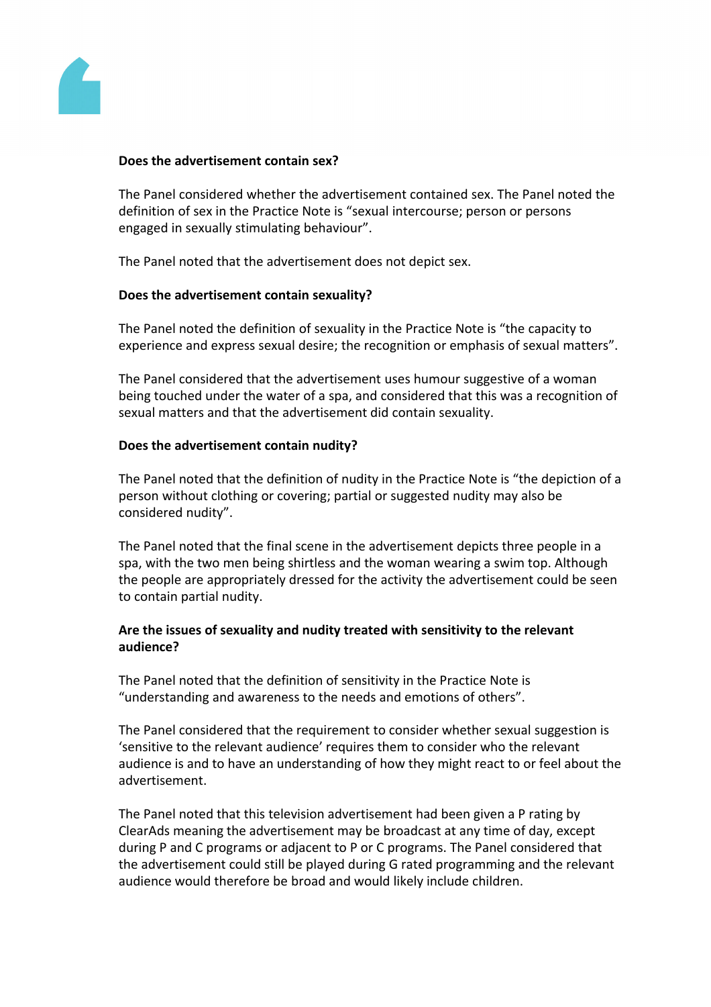

## **Does the advertisement contain sex?**

The Panel considered whether the advertisement contained sex. The Panel noted the definition of sex in the Practice Note is "sexual intercourse; person or persons engaged in sexually stimulating behaviour".

The Panel noted that the advertisement does not depict sex.

#### **Does the advertisement contain sexuality?**

The Panel noted the definition of sexuality in the Practice Note is "the capacity to experience and express sexual desire; the recognition or emphasis of sexual matters".

The Panel considered that the advertisement uses humour suggestive of a woman being touched under the water of a spa, and considered that this was a recognition of sexual matters and that the advertisement did contain sexuality.

#### **Does the advertisement contain nudity?**

The Panel noted that the definition of nudity in the Practice Note is "the depiction of a person without clothing or covering; partial or suggested nudity may also be considered nudity".

The Panel noted that the final scene in the advertisement depicts three people in a spa, with the two men being shirtless and the woman wearing a swim top. Although the people are appropriately dressed for the activity the advertisement could be seen to contain partial nudity.

## **Are the issues of sexuality and nudity treated with sensitivity to the relevant audience?**

The Panel noted that the definition of sensitivity in the Practice Note is "understanding and awareness to the needs and emotions of others".

The Panel considered that the requirement to consider whether sexual suggestion is 'sensitive to the relevant audience' requires them to consider who the relevant audience is and to have an understanding of how they might react to or feel about the advertisement.

The Panel noted that this television advertisement had been given a P rating by ClearAds meaning the advertisement may be broadcast at any time of day, except during P and C programs or adjacent to P or C programs. The Panel considered that the advertisement could still be played during G rated programming and the relevant audience would therefore be broad and would likely include children.